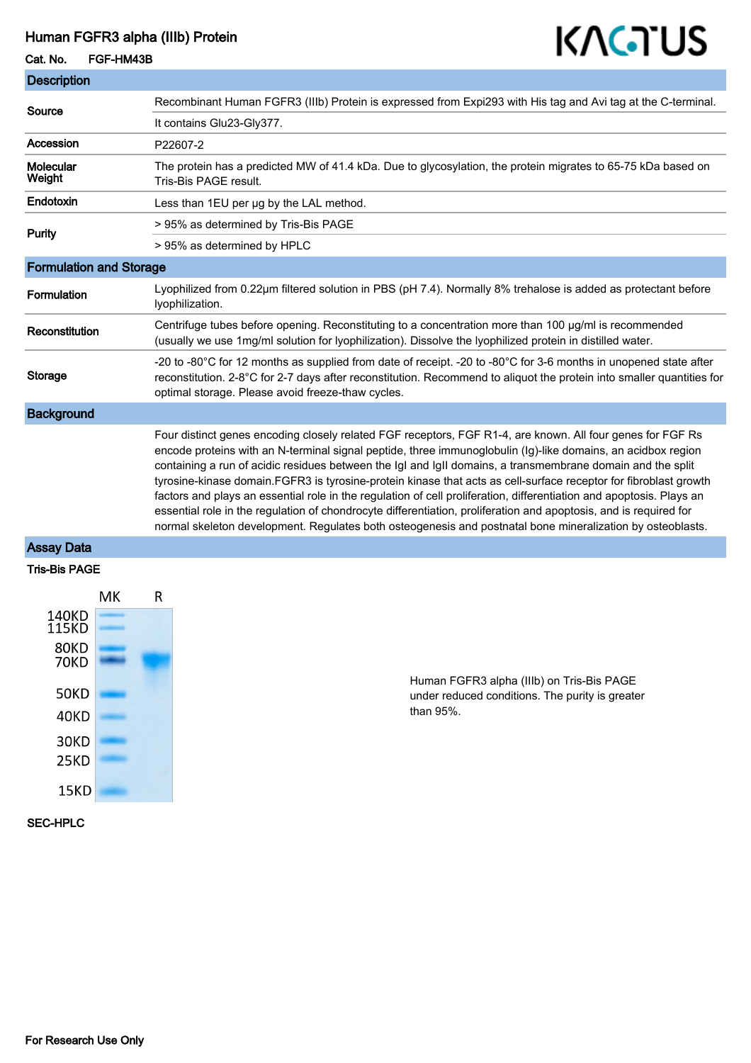#### Human FGFR3 alpha (IIIb) Protein

#### Cat. No. FGF-HM43B

**Description** 

## KAGTUS

| <b>Description</b>             |                                                                                                                                                                                                                                                                                                                                                                                                                                                                                                                                                                                                                                                                                                                                                                                                                         |
|--------------------------------|-------------------------------------------------------------------------------------------------------------------------------------------------------------------------------------------------------------------------------------------------------------------------------------------------------------------------------------------------------------------------------------------------------------------------------------------------------------------------------------------------------------------------------------------------------------------------------------------------------------------------------------------------------------------------------------------------------------------------------------------------------------------------------------------------------------------------|
| Source                         | Recombinant Human FGFR3 (IIIb) Protein is expressed from Expi293 with His tag and Avi tag at the C-terminal.                                                                                                                                                                                                                                                                                                                                                                                                                                                                                                                                                                                                                                                                                                            |
|                                | It contains Glu23-Gly377.                                                                                                                                                                                                                                                                                                                                                                                                                                                                                                                                                                                                                                                                                                                                                                                               |
| Accession                      | P22607-2                                                                                                                                                                                                                                                                                                                                                                                                                                                                                                                                                                                                                                                                                                                                                                                                                |
| Molecular<br>Weight            | The protein has a predicted MW of 41.4 kDa. Due to glycosylation, the protein migrates to 65-75 kDa based on<br>Tris-Bis PAGE result.                                                                                                                                                                                                                                                                                                                                                                                                                                                                                                                                                                                                                                                                                   |
| Endotoxin                      | Less than 1EU per ug by the LAL method.                                                                                                                                                                                                                                                                                                                                                                                                                                                                                                                                                                                                                                                                                                                                                                                 |
| <b>Purity</b>                  | > 95% as determined by Tris-Bis PAGE                                                                                                                                                                                                                                                                                                                                                                                                                                                                                                                                                                                                                                                                                                                                                                                    |
|                                | > 95% as determined by HPLC                                                                                                                                                                                                                                                                                                                                                                                                                                                                                                                                                                                                                                                                                                                                                                                             |
| <b>Formulation and Storage</b> |                                                                                                                                                                                                                                                                                                                                                                                                                                                                                                                                                                                                                                                                                                                                                                                                                         |
| <b>Formulation</b>             | Lyophilized from 0.22µm filtered solution in PBS (pH 7.4). Normally 8% trehalose is added as protectant before<br>lyophilization.                                                                                                                                                                                                                                                                                                                                                                                                                                                                                                                                                                                                                                                                                       |
| Reconstitution                 | Centrifuge tubes before opening. Reconstituting to a concentration more than 100 µg/ml is recommended<br>(usually we use 1mg/ml solution for lyophilization). Dissolve the lyophilized protein in distilled water.                                                                                                                                                                                                                                                                                                                                                                                                                                                                                                                                                                                                      |
| <b>Storage</b>                 | -20 to -80°C for 12 months as supplied from date of receipt. -20 to -80°C for 3-6 months in unopened state after<br>reconstitution. 2-8°C for 2-7 days after reconstitution. Recommend to aliquot the protein into smaller quantities for<br>optimal storage. Please avoid freeze-thaw cycles.                                                                                                                                                                                                                                                                                                                                                                                                                                                                                                                          |
| <b>Background</b>              |                                                                                                                                                                                                                                                                                                                                                                                                                                                                                                                                                                                                                                                                                                                                                                                                                         |
|                                | Four distinct genes encoding closely related FGF receptors, FGF R1-4, are known. All four genes for FGF Rs<br>encode proteins with an N-terminal signal peptide, three immunoglobulin (Ig)-like domains, an acidbox region<br>containing a run of acidic residues between the IgI and IgII domains, a transmembrane domain and the split<br>tyrosine-kinase domain.FGFR3 is tyrosine-protein kinase that acts as cell-surface receptor for fibroblast growth<br>factors and plays an essential role in the regulation of cell proliferation, differentiation and apoptosis. Plays an<br>essential role in the regulation of chondrocyte differentiation, proliferation and apoptosis, and is required for<br>normal skeleton development. Regulates both osteogenesis and postnatal bone mineralization by osteoblasts. |

#### Assay Data

#### Tris-Bis PAGE



Human FGFR3 alpha (IIIb) on Tris-Bis PAGE under reduced conditions. The purity is greater than 95%.

#### SEC-HPLC